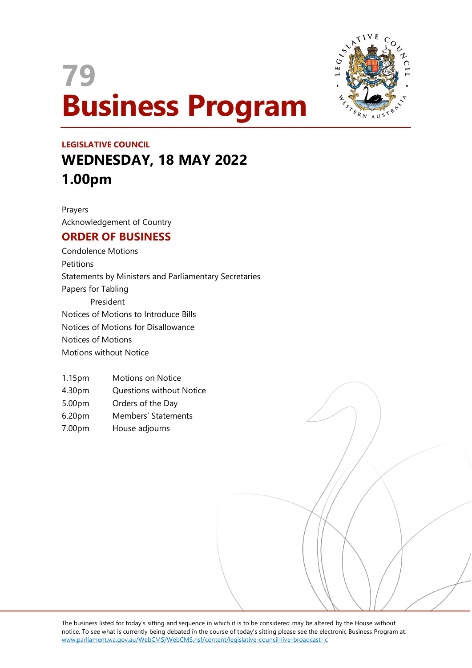# **79 Business Program**



## **LEGISLATIVE COUNCIL WEDNESDAY, 18 MAY 2022 1.00pm**

Prayers Acknowledgement of Country

### **ORDER OF BUSINESS**

Condolence Motions Petitions Statements by Ministers and Parliamentary Secretaries Papers for Tabling President Notices of Motions to Introduce Bills Notices of Motions for Disallowance Notices of Motions Motions without Notice

- 1.15pm Motions on Notice
- 4.30pm Questions without Notice
- 5.00pm Orders of the Day
- 6.20pm Members' Statements
- 7.00pm House adjourns

The business listed for today's sitting and sequence in which it is to be considered may be altered by the House without notice. To see what is currently being debated in the course of today's sitting please see the electronic Business Program at: www.parliament.wa.gov.au/WebCMS/WebCMS.nsf/content/legislative-council-live-broadcast-lc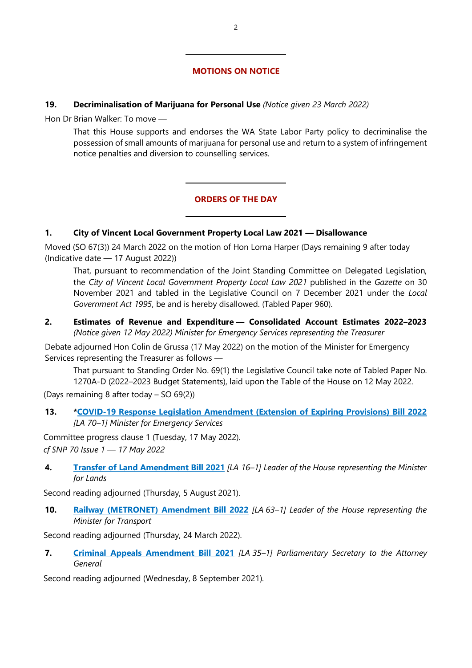#### **MOTIONS ON NOTICE**

#### **19. Decriminalisation of Marijuana for Personal Use** *(Notice given 23 March 2022)*

 $\overline{a}$ 

 $\overline{a}$ 

 $\overline{a}$ 

 $\overline{a}$ 

Hon Dr Brian Walker: To move —

That this House supports and endorses the WA State Labor Party policy to decriminalise the possession of small amounts of marijuana for personal use and return to a system of infringement notice penalties and diversion to counselling services.

#### **ORDERS OF THE DAY**

#### **1. City of Vincent Local Government Property Local Law 2021 — Disallowance**

Moved (SO 67(3)) 24 March 2022 on the motion of Hon Lorna Harper (Days remaining 9 after today (Indicative date — 17 August 2022))

That, pursuant to recommendation of the Joint Standing Committee on Delegated Legislation, the *City of Vincent Local Government Property Local Law 2021* published in the *Gazette* on 30 November 2021 and tabled in the Legislative Council on 7 December 2021 under the *Local Government Act 1995*, be and is hereby disallowed. (Tabled Paper 960).

**2. Estimates of Revenue and Expenditure — Consolidated Account Estimates 2022–2023** *(Notice given 12 May 2022) Minister for Emergency Services representing the Treasurer*

Debate adjourned Hon Colin de Grussa (17 May 2022) on the motion of the Minister for Emergency Services representing the Treasurer as follows —

That pursuant to Standing Order No. 69(1) the Legislative Council take note of Tabled Paper No.

1270A-D (2022–2023 Budget Statements), laid upon the Table of the House on 12 May 2022. (Days remaining 8 after today – SO 69(2))

**13. [\\*COVID-19 Response Legislation Amendment \(Extension of Expiring Provisions\) Bill 2022](https://www.parliament.wa.gov.au/parliament/bills.nsf/BillProgressPopup?openForm&ParentUNID=B3E781BBFDEB514E4825883E000E4BEA)** *[LA 70–1] Minister for Emergency Services*

Committee progress clause 1 (Tuesday, 17 May 2022). *cf SNP 70 Issue 1 — 17 May 2022*

**4. [Transfer of Land Amendment Bill 2021](https://www.parliament.wa.gov.au/parliament/bills.nsf/BillProgressPopup?openForm&ParentUNID=36820FFFEBF0647F482586E1000AD9C0)** *[LA 16–1] Leader of the House representing the Minister for Lands*

Second reading adjourned (Thursday, 5 August 2021).

**10. [Railway \(METRONET\) Amendment Bill 2022](https://www.parliament.wa.gov.au/parliament/bills.nsf/BillProgressPopup?openForm&ParentUNID=76EC53B6A594256F482587F1001CD5B9)** *[LA 63–1] Leader of the House representing the Minister for Transport*

Second reading adjourned (Thursday, 24 March 2022).

**7. [Criminal Appeals Amendment Bill 2021](https://www.parliament.wa.gov.au/parliament/bills.nsf/BillProgressPopup?openForm&ParentUNID=002106722CA2A5574825872D003839AB)** *[LA 35–1] Parliamentary Secretary to the Attorney General*

Second reading adjourned (Wednesday, 8 September 2021).